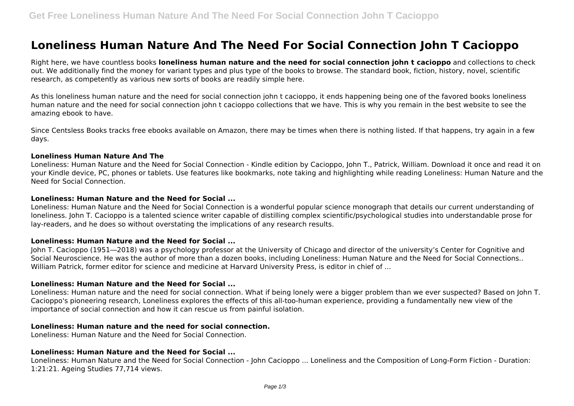# **Loneliness Human Nature And The Need For Social Connection John T Cacioppo**

Right here, we have countless books **loneliness human nature and the need for social connection john t cacioppo** and collections to check out. We additionally find the money for variant types and plus type of the books to browse. The standard book, fiction, history, novel, scientific research, as competently as various new sorts of books are readily simple here.

As this loneliness human nature and the need for social connection john t cacioppo, it ends happening being one of the favored books loneliness human nature and the need for social connection john t cacioppo collections that we have. This is why you remain in the best website to see the amazing ebook to have.

Since Centsless Books tracks free ebooks available on Amazon, there may be times when there is nothing listed. If that happens, try again in a few days.

#### **Loneliness Human Nature And The**

Loneliness: Human Nature and the Need for Social Connection - Kindle edition by Cacioppo, John T., Patrick, William. Download it once and read it on your Kindle device, PC, phones or tablets. Use features like bookmarks, note taking and highlighting while reading Loneliness: Human Nature and the Need for Social Connection.

#### **Loneliness: Human Nature and the Need for Social ...**

Loneliness: Human Nature and the Need for Social Connection is a wonderful popular science monograph that details our current understanding of loneliness. John T. Cacioppo is a talented science writer capable of distilling complex scientific/psychological studies into understandable prose for lay-readers, and he does so without overstating the implications of any research results.

#### **Loneliness: Human Nature and the Need for Social ...**

John T. Cacioppo (1951―2018) was a psychology professor at the University of Chicago and director of the university's Center for Cognitive and Social Neuroscience. He was the author of more than a dozen books, including Loneliness: Human Nature and the Need for Social Connections.. William Patrick, former editor for science and medicine at Harvard University Press, is editor in chief of ...

#### **Loneliness: Human Nature and the Need for Social ...**

Loneliness: Human nature and the need for social connection. What if being lonely were a bigger problem than we ever suspected? Based on John T. Cacioppo's pioneering research, Loneliness explores the effects of this all-too-human experience, providing a fundamentally new view of the importance of social connection and how it can rescue us from painful isolation.

#### **Loneliness: Human nature and the need for social connection.**

Loneliness: Human Nature and the Need for Social Connection.

#### **Loneliness: Human Nature and the Need for Social ...**

Loneliness: Human Nature and the Need for Social Connection - John Cacioppo ... Loneliness and the Composition of Long-Form Fiction - Duration: 1:21:21. Ageing Studies 77,714 views.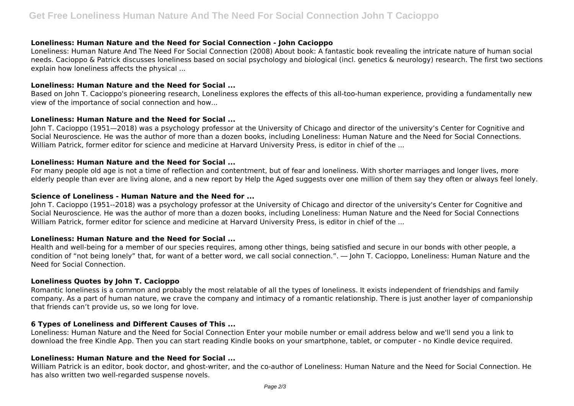## **Loneliness: Human Nature and the Need for Social Connection - John Cacioppo**

Loneliness: Human Nature And The Need For Social Connection (2008) About book: A fantastic book revealing the intricate nature of human social needs. Cacioppo & Patrick discusses loneliness based on social psychology and biological (incl. genetics & neurology) research. The first two sections explain how loneliness affects the physical ...

#### **Loneliness: Human Nature and the Need for Social ...**

Based on John T. Cacioppo's pioneering research, Loneliness explores the effects of this all-too-human experience, providing a fundamentally new view of the importance of social connection and how...

## **Loneliness: Human Nature and the Need for Social ...**

John T. Cacioppo (1951—2018) was a psychology professor at the University of Chicago and director of the university's Center for Cognitive and Social Neuroscience. He was the author of more than a dozen books, including Loneliness: Human Nature and the Need for Social Connections. William Patrick, former editor for science and medicine at Harvard University Press, is editor in chief of the ...

## **Loneliness: Human Nature and the Need for Social ...**

For many people old age is not a time of reflection and contentment, but of fear and loneliness. With shorter marriages and longer lives, more elderly people than ever are living alone, and a new report by Help the Aged suggests over one million of them say they often or always feel lonely.

#### **Science of Loneliness - Human Nature and the Need for ...**

John T. Cacioppo (1951--2018) was a psychology professor at the University of Chicago and director of the university's Center for Cognitive and Social Neuroscience. He was the author of more than a dozen books, including Loneliness: Human Nature and the Need for Social Connections William Patrick, former editor for science and medicine at Harvard University Press, is editor in chief of the ...

## **Loneliness: Human Nature and the Need for Social ...**

Health and well-being for a member of our species requires, among other things, being satisfied and secure in our bonds with other people, a condition of "not being lonely" that, for want of a better word, we call social connection.". ― John T. Cacioppo, Loneliness: Human Nature and the Need for Social Connection.

## **Loneliness Quotes by John T. Cacioppo**

Romantic loneliness is a common and probably the most relatable of all the types of loneliness. It exists independent of friendships and family company. As a part of human nature, we crave the company and intimacy of a romantic relationship. There is just another layer of companionship that friends can't provide us, so we long for love.

## **6 Types of Loneliness and Different Causes of This ...**

Loneliness: Human Nature and the Need for Social Connection Enter your mobile number or email address below and we'll send you a link to download the free Kindle App. Then you can start reading Kindle books on your smartphone, tablet, or computer - no Kindle device required.

## **Loneliness: Human Nature and the Need for Social ...**

William Patrick is an editor, book doctor, and ghost-writer, and the co-author of Loneliness: Human Nature and the Need for Social Connection. He has also written two well-regarded suspense novels.